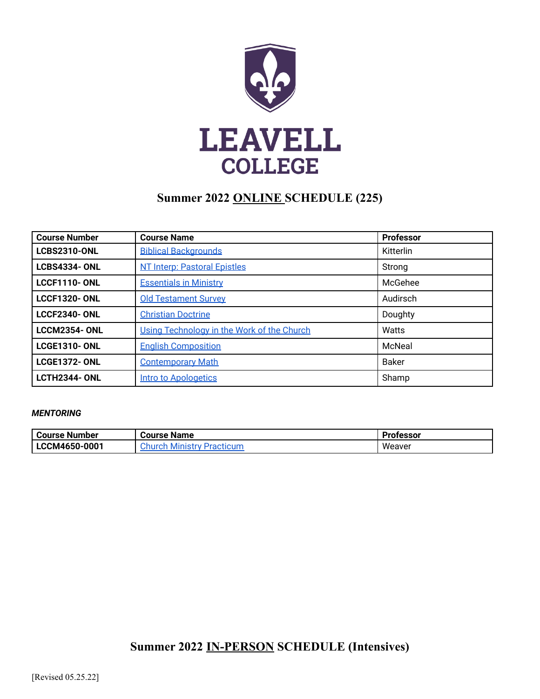

# **Summer 2022 ONLINE SCHEDULE (225)**

| <b>Course Number</b> | <b>Course Name</b>                         | <b>Professor</b> |
|----------------------|--------------------------------------------|------------------|
| <b>LCBS2310-ONL</b>  | <b>Biblical Backgrounds</b>                | Kitterlin        |
| <b>LCBS4334-ONL</b>  | <b>NT Interp: Pastoral Epistles</b>        | Strong           |
| <b>LCCF1110- ONL</b> | <b>Essentials in Ministry</b>              | McGehee          |
| <b>LCCF1320-ONL</b>  | <b>Old Testament Survey</b>                | Audirsch         |
| <b>LCCF2340-ONL</b>  | <b>Christian Doctrine</b>                  | Doughty          |
| <b>LCCM2354-ONL</b>  | Using Technology in the Work of the Church | Watts            |
| <b>LCGE1310- ONL</b> | <b>English Composition</b>                 | McNeal           |
| <b>LCGE1372-ONL</b>  | <b>Contemporary Math</b>                   | <b>Baker</b>     |
| <b>LCTH2344- ONL</b> | <b>Intro to Apologetics</b>                | Shamp            |

#### *MENTORING*

| . Course Number<br><b>Course Name</b> |                              | Professor |
|---------------------------------------|------------------------------|-----------|
| LCCM4650-0001                         | Ministry Practicum<br>:hurch | Weaver    |

## **Summer 2022 IN-PERSON SCHEDULE (Intensives)**